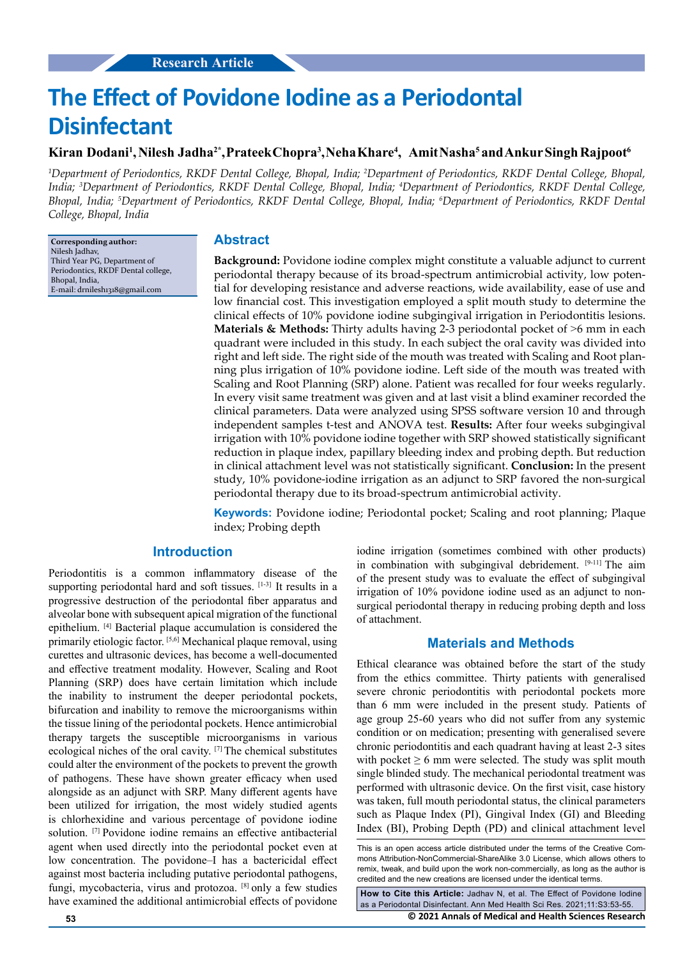# **The Effect of Povidone Iodine as a Periodontal Disinfectant**

## $\bf K$ iran Dodani<sup>1</sup>, Nilesh Jadha<sup>2\*</sup>,Prateek Chopra<sup>3</sup>,Neha Khare<sup>4</sup>, Amit Nasha<sup>5</sup> and Ankur Singh Rajpoot<sup>6</sup>

<sup>1</sup>Department of Periodontics, RKDF Dental College, Bhopal, India; <sup>2</sup>Department of Periodontics, RKDF Dental College, Bhopal, *India; 3 Department of Periodontics, RKDF Dental College, Bhopal, India; 4 Department of Periodontics, RKDF Dental College, Bhopal, India; 5 Department of Periodontics, RKDF Dental College, Bhopal, India; 6 Department of Periodontics, RKDF Dental College, Bhopal, India*

**Corresponding author:** Nilesh Jadhav, Third Year PG, Department of Periodontics, RKDF Dental college, Bhopal, India, E-mail: [drnilesh1318@gmail.com](mailto:drnilesh1318@gmail.com)

#### **Abstract**

**Background:** Povidone iodine complex might constitute a valuable adjunct to current periodontal therapy because of its broad-spectrum antimicrobial activity, low potential for developing resistance and adverse reactions, wide availability, ease of use and low financial cost. This investigation employed a split mouth study to determine the clinical effects of 10% povidone iodine subgingival irrigation in Periodontitis lesions. **Materials & Methods:** Thirty adults having 2-3 periodontal pocket of >6 mm in each quadrant were included in this study. In each subject the oral cavity was divided into right and left side. The right side of the mouth was treated with Scaling and Root planning plus irrigation of 10% povidone iodine. Left side of the mouth was treated with Scaling and Root Planning (SRP) alone. Patient was recalled for four weeks regularly. In every visit same treatment was given and at last visit a blind examiner recorded the clinical parameters. Data were analyzed using SPSS software version 10 and through independent samples t-test and ANOVA test. **Results:** After four weeks subgingival irrigation with 10% povidone iodine together with SRP showed statistically significant reduction in plaque index, papillary bleeding index and probing depth. But reduction in clinical attachment level was not statistically significant. **Conclusion:** In the present study, 10% povidone-iodine irrigation as an adjunct to SRP favored the non-surgical periodontal therapy due to its broad-spectrum antimicrobial activity.

**Keywords:** Povidone iodine; Periodontal pocket; Scaling and root planning; Plaque index; Probing depth

## **Introduction**

Periodontitis is a common inflammatory disease of the supporting periodontal hard and soft tissues. [1-3] It results in a progressive destruction of the periodontal fiber apparatus and alveolar bone with subsequent apical migration of the functional epithelium. [4] Bacterial plaque accumulation is considered the primarily etiologic factor. [5,6] Mechanical plaque removal, using curettes and ultrasonic devices, has become a well-documented and effective treatment modality. However, Scaling and Root Planning (SRP) does have certain limitation which include the inability to instrument the deeper periodontal pockets, bifurcation and inability to remove the microorganisms within the tissue lining of the periodontal pockets. Hence antimicrobial therapy targets the susceptible microorganisms in various ecological niches of the oral cavity. [7] The chemical substitutes could alter the environment of the pockets to prevent the growth of pathogens. These have shown greater efficacy when used alongside as an adjunct with SRP. Many different agents have been utilized for irrigation, the most widely studied agents is chlorhexidine and various percentage of povidone iodine solution. [7] Povidone iodine remains an effective antibacterial agent when used directly into the periodontal pocket even at low concentration. The povidone–I has a bactericidal effect against most bacteria including putative periodontal pathogens, fungi, mycobacteria, virus and protozoa. [8] only a few studies have examined the additional antimicrobial effects of povidone

iodine irrigation (sometimes combined with other products) in combination with subgingival debridement. [9-11] The aim of the present study was to evaluate the effect of subgingival irrigation of 10% povidone iodine used as an adjunct to nonsurgical periodontal therapy in reducing probing depth and loss of attachment.

## **Materials and Methods**

Ethical clearance was obtained before the start of the study from the ethics committee. Thirty patients with generalised severe chronic periodontitis with periodontal pockets more than 6 mm were included in the present study. Patients of age group 25-60 years who did not suffer from any systemic condition or on medication; presenting with generalised severe chronic periodontitis and each quadrant having at least 2-3 sites with pocket  $\geq 6$  mm were selected. The study was split mouth single blinded study. The mechanical periodontal treatment was performed with ultrasonic device. On the first visit, case history was taken, full mouth periodontal status, the clinical parameters such as Plaque Index (PI), Gingival Index (GI) and Bleeding Index (BI), Probing Depth (PD) and clinical attachment level

This is an open access article distributed under the terms of the Creative Commons Attribution‑NonCommercial‑ShareAlike 3.0 License, which allows others to remix, tweak, and build upon the work non‑commercially, as long as the author is credited and the new creations are licensed under the identical terms.

**53 © 2021 Annals of Medical and Health Sciences Research How to Cite this Article:** Jadhav N, et al. The Effect of Povidone Iodine as a Periodontal Disinfectant. Ann Med Health Sci Res. 2021;11:S3:53-55.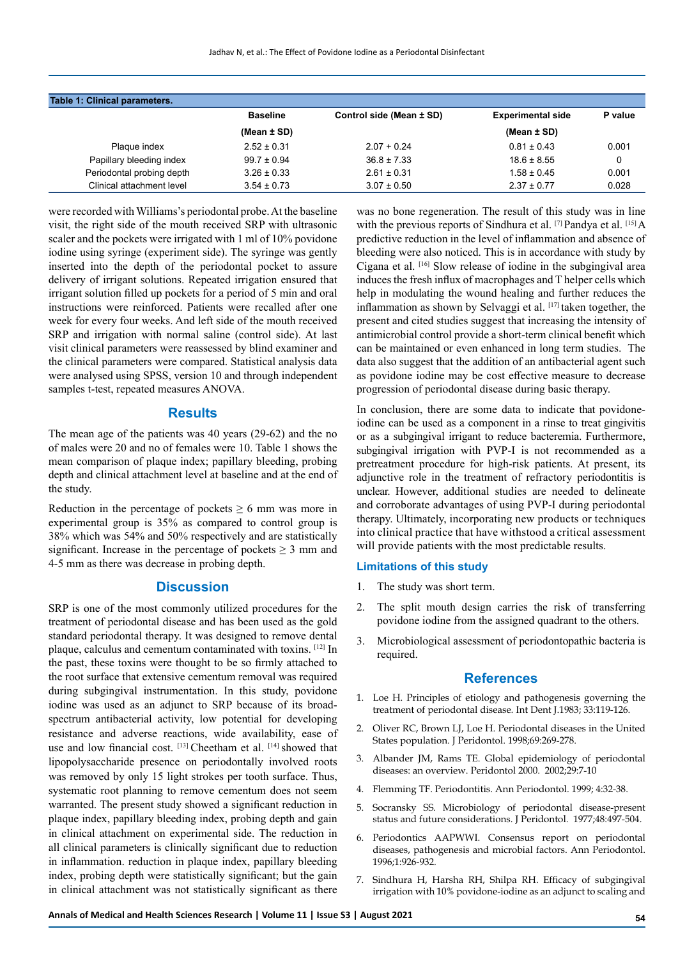| Table 1: Clinical parameters. |                 |                          |                          |         |
|-------------------------------|-----------------|--------------------------|--------------------------|---------|
|                               | <b>Baseline</b> | Control side (Mean ± SD) | <b>Experimental side</b> | P value |
|                               | (Mean $\pm$ SD) |                          | (Mean $\pm$ SD)          |         |
| Plaque index                  | $2.52 \pm 0.31$ | $2.07 + 0.24$            | $0.81 \pm 0.43$          | 0.001   |
| Papillary bleeding index      | $99.7 \pm 0.94$ | $36.8 \pm 7.33$          | $18.6 \pm 8.55$          | 0       |
| Periodontal probing depth     | $3.26 \pm 0.33$ | $2.61 \pm 0.31$          | $1.58 \pm 0.45$          | 0.001   |
| Clinical attachment level     | $3.54 \pm 0.73$ | $3.07 \pm 0.50$          | $2.37 \pm 0.77$          | 0.028   |

were recorded with Williams's periodontal probe. At the baseline visit, the right side of the mouth received SRP with ultrasonic scaler and the pockets were irrigated with 1 ml of 10% povidone iodine using syringe (experiment side). The syringe was gently inserted into the depth of the periodontal pocket to assure delivery of irrigant solutions. Repeated irrigation ensured that irrigant solution filled up pockets for a period of 5 min and oral instructions were reinforced. Patients were recalled after one week for every four weeks. And left side of the mouth received SRP and irrigation with normal saline (control side). At last visit clinical parameters were reassessed by blind examiner and the clinical parameters were compared. Statistical analysis data were analysed using SPSS, version 10 and through independent samples t-test, repeated measures ANOVA.

#### **Results**

The mean age of the patients was 40 years (29-62) and the no of males were 20 and no of females were 10. Table 1 shows the mean comparison of plaque index; papillary bleeding, probing depth and clinical attachment level at baseline and at the end of the study.

Reduction in the percentage of pockets  $\geq 6$  mm was more in experimental group is 35% as compared to control group is 38% which was 54% and 50% respectively and are statistically significant. Increase in the percentage of pockets  $\geq 3$  mm and 4-5 mm as there was decrease in probing depth.

#### **Discussion**

SRP is one of the most commonly utilized procedures for the treatment of periodontal disease and has been used as the gold standard periodontal therapy. It was designed to remove dental plaque, calculus and cementum contaminated with toxins. [12] In the past, these toxins were thought to be so firmly attached to the root surface that extensive cementum removal was required during subgingival instrumentation. In this study, povidone iodine was used as an adjunct to SRP because of its broadspectrum antibacterial activity, low potential for developing resistance and adverse reactions, wide availability, ease of use and low financial cost. [13] Cheetham et al. [14] showed that lipopolysaccharide presence on periodontally involved roots was removed by only 15 light strokes per tooth surface. Thus, systematic root planning to remove cementum does not seem warranted. The present study showed a significant reduction in plaque index, papillary bleeding index, probing depth and gain in clinical attachment on experimental side. The reduction in all clinical parameters is clinically significant due to reduction in inflammation. reduction in plaque index, papillary bleeding index, probing depth were statistically significant; but the gain in clinical attachment was not statistically significant as there

was no bone regeneration. The result of this study was in line with the previous reports of Sindhura et al. [7] Pandya et al. [15] A predictive reduction in the level of inflammation and absence of bleeding were also noticed. This is in accordance with study by Cigana et al. [16] Slow release of iodine in the subgingival area induces the fresh influx of macrophages and T helper cells which help in modulating the wound healing and further reduces the inflammation as shown by Selvaggi et al.  $[17]$  taken together, the present and cited studies suggest that increasing the intensity of antimicrobial control provide a short-term clinical benefit which can be maintained or even enhanced in long term studies. The data also suggest that the addition of an antibacterial agent such as povidone iodine may be cost effective measure to decrease progression of periodontal disease during basic therapy.

In conclusion, there are some data to indicate that povidoneiodine can be used as a component in a rinse to treat gingivitis or as a subgingival irrigant to reduce bacteremia. Furthermore, subgingival irrigation with PVP-I is not recommended as a pretreatment procedure for high-risk patients. At present, its adjunctive role in the treatment of refractory periodontitis is unclear. However, additional studies are needed to delineate and corroborate advantages of using PVP-I during periodontal therapy. Ultimately, incorporating new products or techniques into clinical practice that have withstood a critical assessment will provide patients with the most predictable results.

## **Limitations of this study**

- 1. The study was short term.
- 2. The split mouth design carries the risk of transferring povidone iodine from the assigned quadrant to the others.
- 3. Microbiological assessment of periodontopathic bacteria is required.

## **References**

- 1. Loe H. Principles of etiology and pathogenesis governing the treatment of periodontal disease*.* Int Dent J.1983; 33:119-126.
- 2. Oliver RC, Brown LJ, Loe H. Periodontal diseases in the United States population. J Peridontol. 1998;69:269-278.
- 3. Albander JM, Rams TE. Global epidemiology of periodontal diseases: an overview. Peridontol 2000. 2002;29:7-10
- 4. Flemming TF. Periodontitis. Ann Periodontol. 1999; 4:32-38.
- 5. Socransky SS. Microbiology of periodontal disease-present status and future considerations. J Peridontol. 1977;48:497-504.
- 6. Periodontics AAPWWI. Consensus report on periodontal diseases, pathogenesis and microbial factors. Ann Periodontol. 1996;1:926-932.
- 7. Sindhura H, Harsha RH, Shilpa RH. Efficacy of subgingival irrigation with 10% povidone-iodine as an adjunct to scaling and